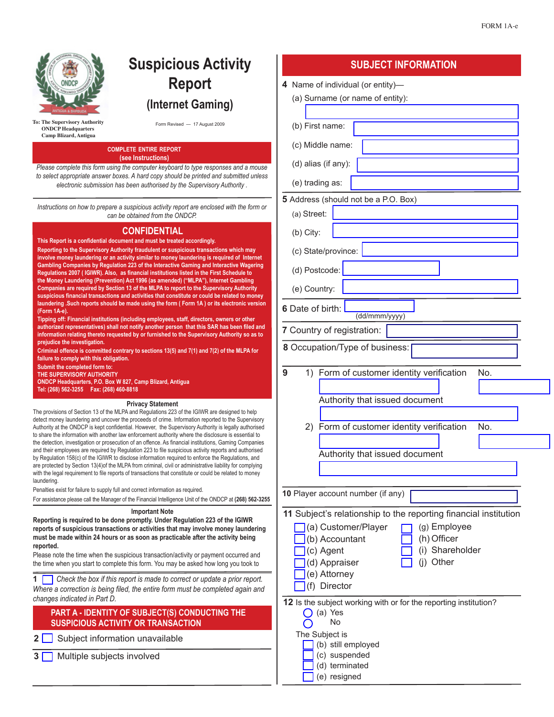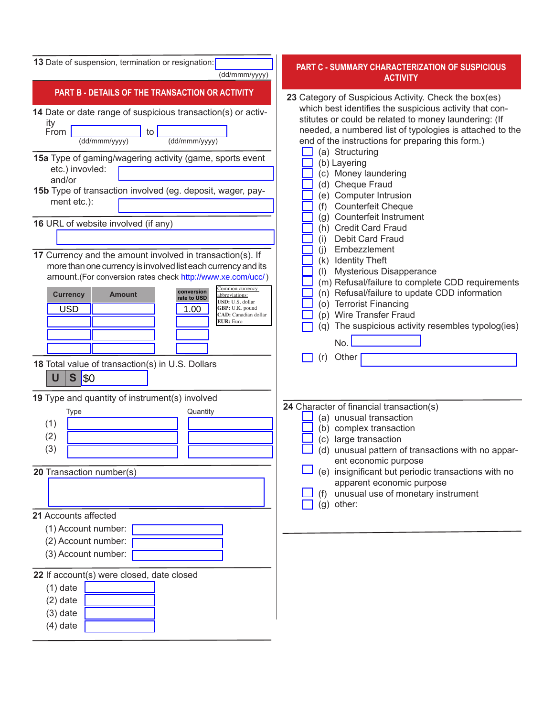| 13 Date of suspension, termination or resignation:<br>(dd/mmm/yyyy)                                                                                                                                                                                                                                                                                                                                                                                                                   | <b>PART C - SUMMARY CHARACTERIZATION OF SUSPICIOUS</b><br><b>ACTIVITY</b>                                                                                                                                                                                                                                                                                                                                                                                                                                                 |
|---------------------------------------------------------------------------------------------------------------------------------------------------------------------------------------------------------------------------------------------------------------------------------------------------------------------------------------------------------------------------------------------------------------------------------------------------------------------------------------|---------------------------------------------------------------------------------------------------------------------------------------------------------------------------------------------------------------------------------------------------------------------------------------------------------------------------------------------------------------------------------------------------------------------------------------------------------------------------------------------------------------------------|
| PART B - DETAILS OF THE TRANSACTION OR ACTIVITY<br>14 Date or date range of suspicious transaction(s) or activ-<br>ity<br>From<br>to<br>(dd/mmm/yyyy)<br>(dd/mmm/yyyy)<br>15a Type of gaming/wagering activity (game, sports event<br>etc.) invovled:<br>and/or<br>15b Type of transaction involved (eg. deposit, wager, pay-<br>ment etc.):<br>16 URL of website involved (if any)                                                                                                   | 23 Category of Suspicious Activity. Check the box(es)<br>which best identifies the suspicious activity that con-<br>stitutes or could be related to money laundering: (If<br>needed, a numbered list of typologies is attached to the<br>end of the instructions for preparing this form.)<br>(a) Structuring<br>(b) Layering<br>(c) Money laundering<br>(d) Cheque Fraud<br>(e) Computer Intrusion<br><b>Counterfeit Cheque</b><br>(f)<br>(g) Counterfeit Instrument<br>(h) Credit Card Fraud<br>Debit Card Fraud<br>(i) |
| 17 Currency and the amount involved in transaction(s). If<br>more than one currency is involved list each currency and its<br>amount.(For conversion rates check http://www.xe.com/ucc/)<br>Common currency<br>conversion<br><b>Currency</b><br><b>Amount</b><br>abbreviations:<br>rate to USD<br>USD: U.S. dollar<br><b>USD</b><br>1.00<br>GBP: U.K. pound<br><b>CAD</b> : Canadian dollar<br><b>EUR</b> : Euro<br>18 Total value of transaction(s) in U.S. Dollars<br>S<br>\$0<br>U | Embezzlement<br>(i)<br>(k) Identity Theft<br><b>Mysterious Disapperance</b><br>(1)<br>(m) Refusal/failure to complete CDD requirements<br>(n) Refusal/failure to update CDD information<br>(o) Terrorist Financing<br>(p) Wire Transfer Fraud<br>(q) The suspicious activity resembles typolog(ies)<br>No.<br>(r)<br>Other                                                                                                                                                                                                |
| 19 Type and quantity of instrument(s) involved<br>Quantity<br>Type<br>(1)<br>(2)<br>(3)<br>20 Transaction number(s)                                                                                                                                                                                                                                                                                                                                                                   | 24 Character of financial transaction(s)<br>(a) unusual transaction<br>(b) complex transaction<br>(c) large transaction<br>(d) unusual pattern of transactions with no appar-<br>ent economic purpose<br>(e) insignificant but periodic transactions with no<br>apparent economic purpose<br>unusual use of monetary instrument<br>(f)<br>(g) other:                                                                                                                                                                      |
| 21 Accounts affected<br>(1) Account number:<br>(2) Account number:<br>(3) Account number:<br>22 If account(s) were closed, date closed<br>$(1)$ date<br>$(2)$ date<br>$(3)$ date                                                                                                                                                                                                                                                                                                      |                                                                                                                                                                                                                                                                                                                                                                                                                                                                                                                           |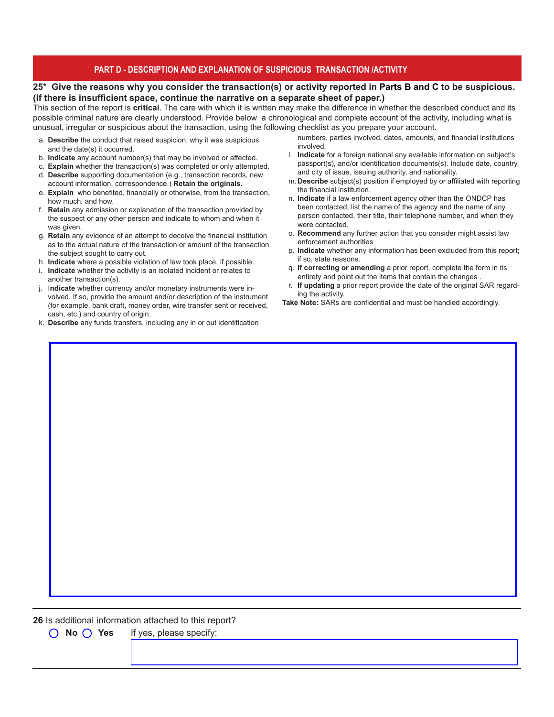## **PART D - DESCRIPTION AND EXPLANATION OF SUSPICIOUS TRANSACTION /ACTIVITY**

## **25\* Give the reasons why you consider the transaction(s) or activity reported in Parts B and C to be suspicious. (If there is insufficient space, continue the narrative on a separate sheet of paper.)**

This section of the report is **critical**. The care with which it is written may make the difference in whether the described conduct and its possible criminal nature are clearly understood. Provide below a chronological and complete account of the activity, including what is unusual, irregular or suspicious about the transaction, using the following checklist as you prepare your account.

- a. **Describe** the conduct that raised suspicion, why it was suspicious and the date(s) it occurred.
- b. **Indicate** any account number(s) that may be involved or affected.
- c. **Explain** whether the transaction(s) was completed or only attempted.
- d. **Describe** supporting documentation (e.g., transaction records, new account information, correspondence.) **Retain the originals.**
- e. **Explain** who benefited, financially or otherwise, from the transaction, how much, and how.
- f. **Retain** any admission or explanation of the transaction provided by the suspect or any other person and indicate to whom and when it was given.
- g. **Retain** any evidence of an attempt to deceive the financial institution as to the actual nature of the transaction or amount of the transaction the subject sought to carry out.
- h. **Indicate** where a possible violation of law took place, if possible.
- i. **Indicate** whether the activity is an isolated incident or relates to another transaction(s).
- j. I**ndicate** whether currency and/or monetary instruments were involved. If so, provide the amount and/or description of the instrument (for example, bank draft, money order, wire transfer sent or received, cash, etc.) and country of origin.
- k. **Describe** any funds transfers, including any in or out identification
- numbers, parties involved, dates, amounts, and financial institutions involved.
- l. **Indicate** for a foreign national any available information on subject's passport(s), and/or identification documents(s). Include date, country, and city of issue, issuing authority, and nationality.
- m. **Describe** subject(s) position if employed by or affiliated with reporting the financial institution.
- n. **Indicate** if a law enforcement agency other than the ONDCP has been contacted, list the name of the agency and the name of any person contacted, their title, their telephone number, and when they were contacted.
- o. **Recommend** any further action that you consider might assist law enforcement authorities
- p. **Indicate** whether any information has been excluded from this report; if so, state reasons.
- q. **If correcting or amending** a prior report, complete the form in its entirety and point out the items that contain the changes .
- r. **If updating** a prior report provide the date of the original SAR regarding the activity.

**Take Note:** SARs are confidential and must be handled accordingly.

**26** Is additional information attached to this report?

◯ **No** ◯ **Yes** If yes, please specify: